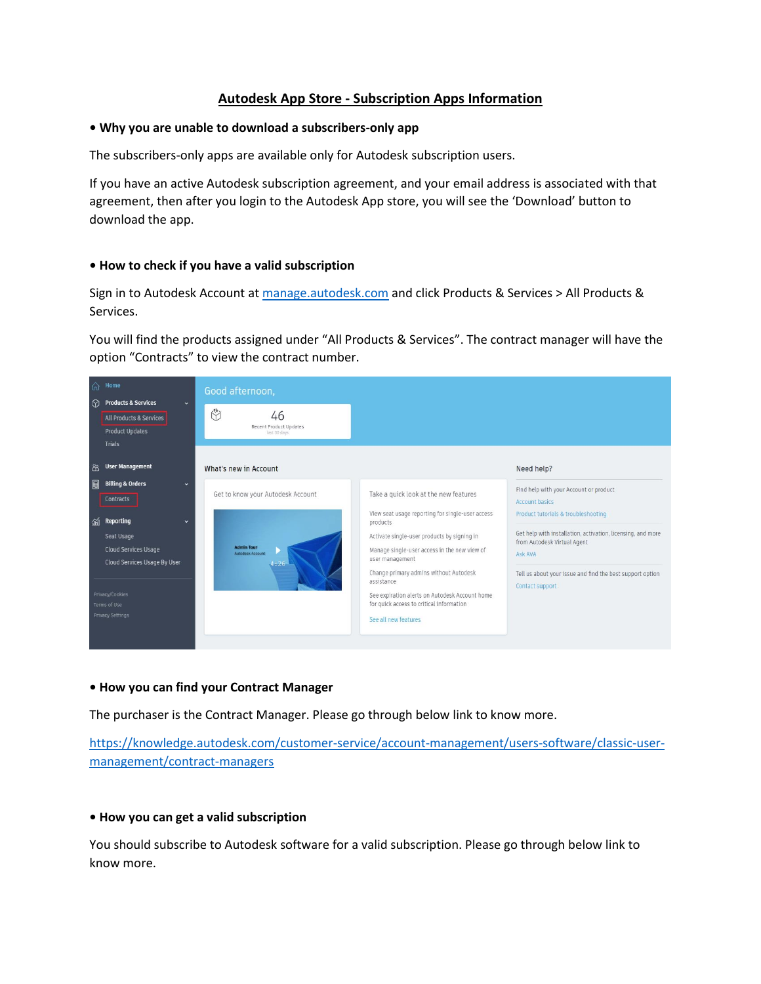# **Autodesk App Store - Subscription Apps Information**

### **• Why you are unable to download a subscribers-only app**

The subscribers-only apps are available only for Autodesk subscription users.

If you have an active Autodesk subscription agreement, and your email address is associated with that agreement, then after you login to the Autodesk App store, you will see the 'Download' button to download the app.

## **• How to check if you have a valid subscription**

Sign in to Autodesk Account at [manage.autodesk.com](https://manage.autodesk.com/) and click Products & Services > All Products & Services.

You will find the products assigned under "All Products & Services". The contract manager will have the option "Contracts" to view the contract number.



#### **• How you can find your Contract Manager**

The purchaser is the Contract Manager. Please go through below link to know more.

[https://knowledge.autodesk.com/customer-service/account-management/users-software/classic-user](https://knowledge.autodesk.com/customer-service/account-management/users-software/classic-user-management/contract-managers)[management/contract-managers](https://knowledge.autodesk.com/customer-service/account-management/users-software/classic-user-management/contract-managers)

## **• How you can get a valid subscription**

You should subscribe to Autodesk software for a valid subscription. Please go through below link to know more.